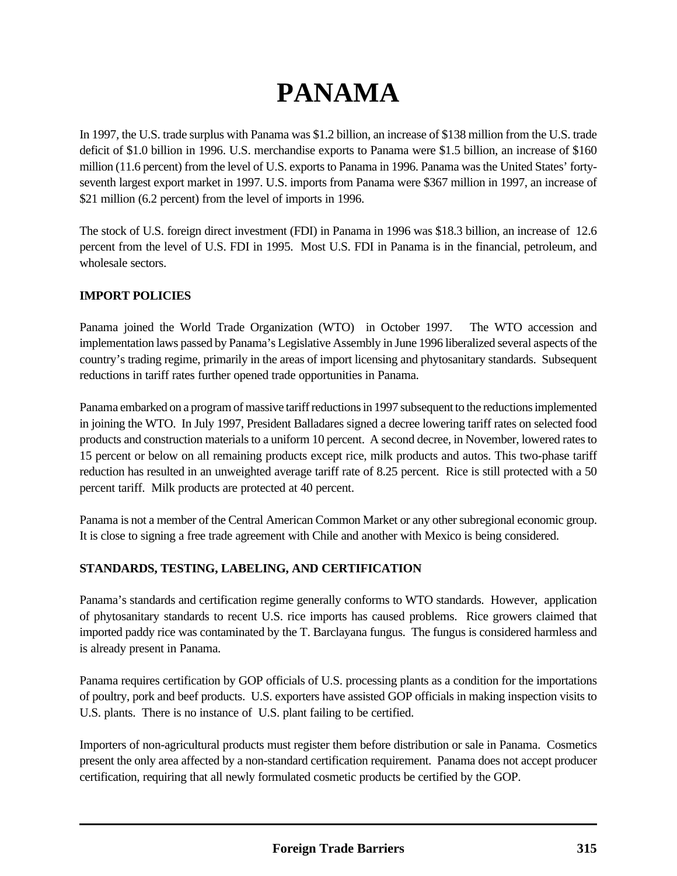# **PANAMA**

In 1997, the U.S. trade surplus with Panama was \$1.2 billion, an increase of \$138 million from the U.S. trade deficit of \$1.0 billion in 1996. U.S. merchandise exports to Panama were \$1.5 billion, an increase of \$160 million (11.6 percent) from the level of U.S. exports to Panama in 1996. Panama was the United States' fortyseventh largest export market in 1997. U.S. imports from Panama were \$367 million in 1997, an increase of \$21 million (6.2 percent) from the level of imports in 1996.

The stock of U.S. foreign direct investment (FDI) in Panama in 1996 was \$18.3 billion, an increase of 12.6 percent from the level of U.S. FDI in 1995. Most U.S. FDI in Panama is in the financial, petroleum, and wholesale sectors.

# **IMPORT POLICIES**

Panama joined the World Trade Organization (WTO) in October 1997. The WTO accession and implementation laws passed by Panama's Legislative Assembly in June 1996 liberalized several aspects of the country's trading regime, primarily in the areas of import licensing and phytosanitary standards. Subsequent reductions in tariff rates further opened trade opportunities in Panama.

Panama embarked on a program of massive tariff reductions in 1997 subsequent to the reductions implemented in joining the WTO. In July 1997, President Balladares signed a decree lowering tariff rates on selected food products and construction materials to a uniform 10 percent. A second decree, in November, lowered rates to 15 percent or below on all remaining products except rice, milk products and autos. This two-phase tariff reduction has resulted in an unweighted average tariff rate of 8.25 percent. Rice is still protected with a 50 percent tariff. Milk products are protected at 40 percent.

Panama is not a member of the Central American Common Market or any other subregional economic group. It is close to signing a free trade agreement with Chile and another with Mexico is being considered.

# **STANDARDS, TESTING, LABELING, AND CERTIFICATION**

Panama's standards and certification regime generally conforms to WTO standards. However, application of phytosanitary standards to recent U.S. rice imports has caused problems. Rice growers claimed that imported paddy rice was contaminated by the T. Barclayana fungus. The fungus is considered harmless and is already present in Panama.

Panama requires certification by GOP officials of U.S. processing plants as a condition for the importations of poultry, pork and beef products. U.S. exporters have assisted GOP officials in making inspection visits to U.S. plants. There is no instance of U.S. plant failing to be certified.

Importers of non-agricultural products must register them before distribution or sale in Panama. Cosmetics present the only area affected by a non-standard certification requirement. Panama does not accept producer certification, requiring that all newly formulated cosmetic products be certified by the GOP.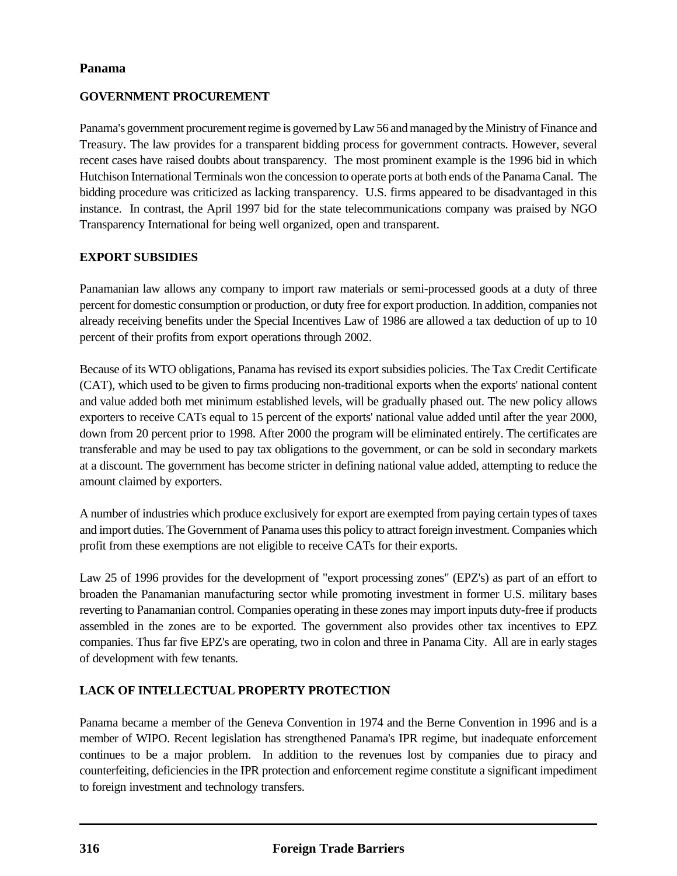## **Panama**

## **GOVERNMENT PROCUREMENT**

Panama's government procurement regime is governed by Law 56 and managed by the Ministry of Finance and Treasury. The law provides for a transparent bidding process for government contracts. However, several recent cases have raised doubts about transparency. The most prominent example is the 1996 bid in which Hutchison International Terminals won the concession to operate ports at both ends of the Panama Canal. The bidding procedure was criticized as lacking transparency. U.S. firms appeared to be disadvantaged in this instance. In contrast, the April 1997 bid for the state telecommunications company was praised by NGO Transparency International for being well organized, open and transparent.

## **EXPORT SUBSIDIES**

Panamanian law allows any company to import raw materials or semi-processed goods at a duty of three percent for domestic consumption or production, or duty free for export production. In addition, companies not already receiving benefits under the Special Incentives Law of 1986 are allowed a tax deduction of up to 10 percent of their profits from export operations through 2002.

Because of its WTO obligations, Panama has revised its export subsidies policies. The Tax Credit Certificate (CAT), which used to be given to firms producing non-traditional exports when the exports' national content and value added both met minimum established levels, will be gradually phased out. The new policy allows exporters to receive CATs equal to 15 percent of the exports' national value added until after the year 2000, down from 20 percent prior to 1998. After 2000 the program will be eliminated entirely. The certificates are transferable and may be used to pay tax obligations to the government, or can be sold in secondary markets at a discount. The government has become stricter in defining national value added, attempting to reduce the amount claimed by exporters.

A number of industries which produce exclusively for export are exempted from paying certain types of taxes and import duties. The Government of Panama uses this policy to attract foreign investment. Companies which profit from these exemptions are not eligible to receive CATs for their exports.

Law 25 of 1996 provides for the development of "export processing zones" (EPZ's) as part of an effort to broaden the Panamanian manufacturing sector while promoting investment in former U.S. military bases reverting to Panamanian control. Companies operating in these zones may import inputs duty-free if products assembled in the zones are to be exported. The government also provides other tax incentives to EPZ companies. Thus far five EPZ's are operating, two in colon and three in Panama City. All are in early stages of development with few tenants.

# **LACK OF INTELLECTUAL PROPERTY PROTECTION**

Panama became a member of the Geneva Convention in 1974 and the Berne Convention in 1996 and is a member of WIPO. Recent legislation has strengthened Panama's IPR regime, but inadequate enforcement continues to be a major problem. In addition to the revenues lost by companies due to piracy and counterfeiting, deficiencies in the IPR protection and enforcement regime constitute a significant impediment to foreign investment and technology transfers.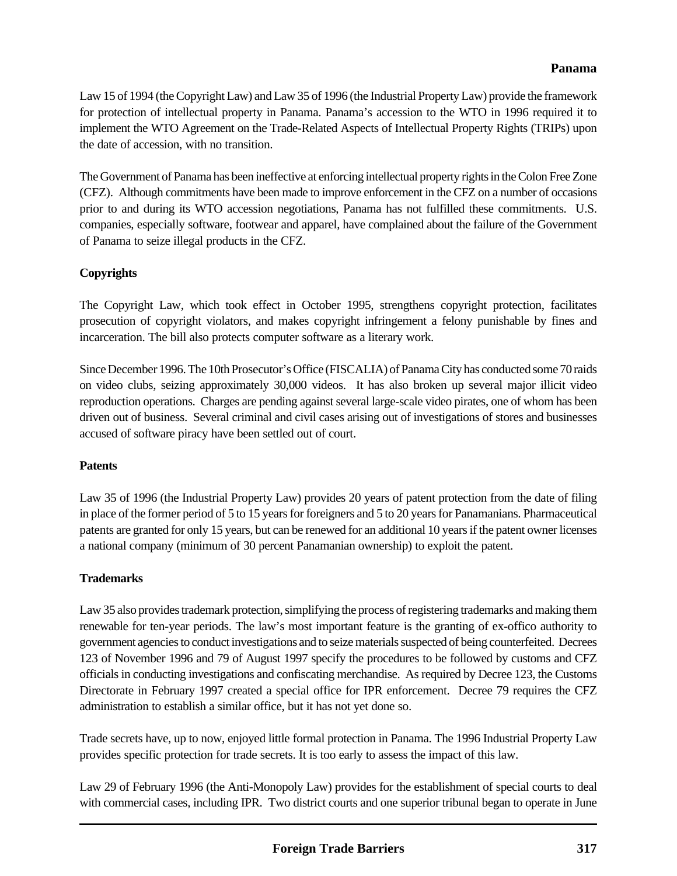#### **Panama**

Law 15 of 1994 (the Copyright Law) and Law 35 of 1996 (the Industrial Property Law) provide the framework for protection of intellectual property in Panama. Panama's accession to the WTO in 1996 required it to implement the WTO Agreement on the Trade-Related Aspects of Intellectual Property Rights (TRIPs) upon the date of accession, with no transition.

The Government of Panama has been ineffective at enforcing intellectual property rights in the Colon Free Zone (CFZ). Although commitments have been made to improve enforcement in the CFZ on a number of occasions prior to and during its WTO accession negotiations, Panama has not fulfilled these commitments. U.S. companies, especially software, footwear and apparel, have complained about the failure of the Government of Panama to seize illegal products in the CFZ.

# **Copyrights**

The Copyright Law, which took effect in October 1995, strengthens copyright protection, facilitates prosecution of copyright violators, and makes copyright infringement a felony punishable by fines and incarceration. The bill also protects computer software as a literary work.

Since December 1996. The 10th Prosecutor's Office (FISCALIA) of Panama City has conducted some 70 raids on video clubs, seizing approximately 30,000 videos. It has also broken up several major illicit video reproduction operations. Charges are pending against several large-scale video pirates, one of whom has been driven out of business. Several criminal and civil cases arising out of investigations of stores and businesses accused of software piracy have been settled out of court.

#### **Patents**

Law 35 of 1996 (the Industrial Property Law) provides 20 years of patent protection from the date of filing in place of the former period of 5 to 15 years for foreigners and 5 to 20 years for Panamanians. Pharmaceutical patents are granted for only 15 years, but can be renewed for an additional 10 years if the patent owner licenses a national company (minimum of 30 percent Panamanian ownership) to exploit the patent.

#### **Trademarks**

Law 35 also provides trademark protection, simplifying the process of registering trademarks and making them renewable for ten-year periods. The law's most important feature is the granting of ex-offico authority to government agencies to conduct investigations and to seize materials suspected of being counterfeited. Decrees 123 of November 1996 and 79 of August 1997 specify the procedures to be followed by customs and CFZ officials in conducting investigations and confiscating merchandise. As required by Decree 123, the Customs Directorate in February 1997 created a special office for IPR enforcement. Decree 79 requires the CFZ administration to establish a similar office, but it has not yet done so.

Trade secrets have, up to now, enjoyed little formal protection in Panama. The 1996 Industrial Property Law provides specific protection for trade secrets. It is too early to assess the impact of this law.

Law 29 of February 1996 (the Anti-Monopoly Law) provides for the establishment of special courts to deal with commercial cases, including IPR. Two district courts and one superior tribunal began to operate in June